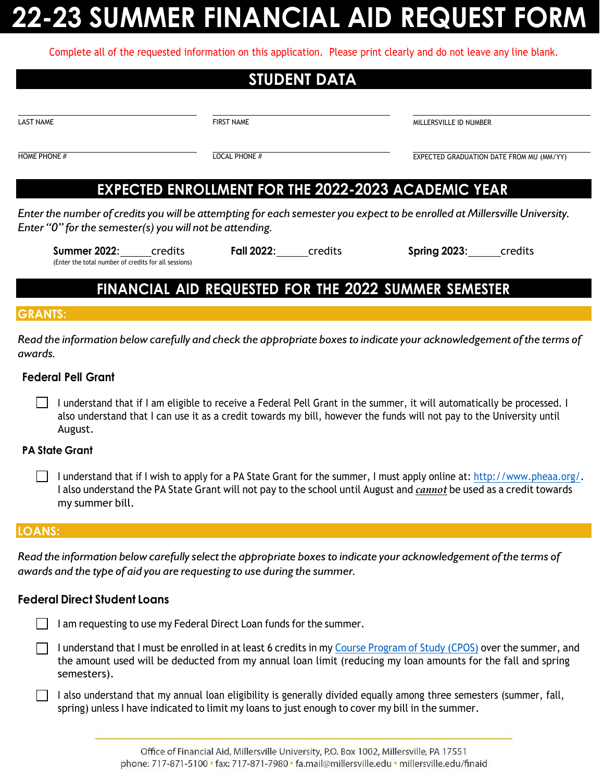# **22-23 SUMMER FINANCIAL AID REQUEST FORM**

Complete all of the requested information on this application. Please print clearly and do not leave any line blank.

## **STUDENT DATA**

LAST NAME FIRST NAME FIRST NAME FIRST NAME THE STATE OF THE MILLERSVILLE ID NUMBER

HOME PHONE # LOCAL PHONE # LOCAL PHONE # LOCAL PHONE # EXPECTED GRADUATION DATE FROM MU (MM/YY)

### **EXPECTED ENROLLMENT FOR THE 2022-2023 ACADEMIC YEAR**

*Enter the number of credits you will be attempting for each semester you expect to be enrolled at Millersville University. Enter "0" for the semester(s) you will not be attending.*

(Enter the total number of credits for all sessions)

**Summer 2022**: credits **Fall 2022**: credits **Spring 2023**: credits

## **FINANCIAL AID REQUESTED FOR THE 2022 SUMMER SEMESTER**

#### **GRANTS:**

Read the information below carefully and check the appropriate boxes to indicate your acknowledgement of the terms of *awards.*

#### **Federal Pell Grant**

I understand that if I am eligible to receive a Federal Pell Grant in the summer, it will automatically be processed. I also understand that I can use it as a credit towards my bill, however the funds will not pay to the University until August.

#### **PA State Grant**

I understand that if I wish to apply for a PA State Grant for the summer, I must apply online at: http://www.pheaa.org/. I also understand the PA State Grant will not pay to the school until August and *cannot* be used as a credit towards my summer bill.

#### **LOANS:**

Read the information below carefully select the appropriate boxes to indicate your acknowledgement of the terms of *awards and the type of aid you are requesting to use during the summer.*

#### **Federal Direct Student Loans**

 $\Box$  I am requesting to use my Federal Direct Loan funds for the summer.

I understand that I must be enrolled in at least 6 credits in my Course Program of Study (CPOS) over the summer, and the amount used will be deducted from my annual loan limit (reducing my loan amounts for the fall and spring semesters).

I also understand that my annual loan eligibility is generally divided equally among three semesters (summer, fall, spring) unless I have indicated to limit my loans to just enough to cover my bill in the summer.